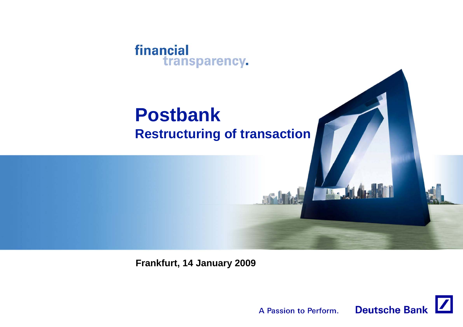

# **Postbank Restructuring of transaction**



**Frankfurt, 14 January 2009**

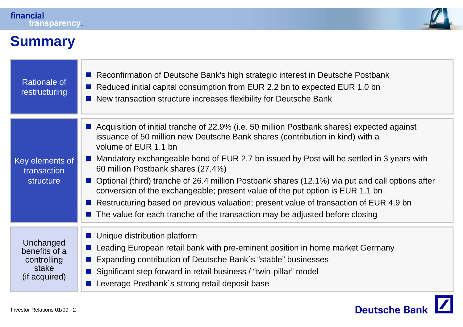

## **Summary**

| <b>Rationale of</b><br>restructuring                                | Reconfirmation of Deutsche Bank's high strategic interest in Deutsche Postbank<br>Reduced initial capital consumption from EUR 2.2 bn to expected EUR 1.0 bn<br>New transaction structure increases flexibility for Deutsche Bank<br>$\mathcal{L}^{\mathcal{A}}$                                                                                                                                                                                                                                                                                                                                                                                                                                                      |
|---------------------------------------------------------------------|-----------------------------------------------------------------------------------------------------------------------------------------------------------------------------------------------------------------------------------------------------------------------------------------------------------------------------------------------------------------------------------------------------------------------------------------------------------------------------------------------------------------------------------------------------------------------------------------------------------------------------------------------------------------------------------------------------------------------|
| Key elements of<br>transaction<br>structure                         | ■ Acquisition of initial tranche of 22.9% (i.e. 50 million Postbank shares) expected against<br>issuance of 50 million new Deutsche Bank shares (contribution in kind) with a<br>volume of EUR 1.1 bn<br>Mandatory exchangeable bond of EUR 2.7 bn issued by Post will be settled in 3 years with<br>60 million Postbank shares (27.4%)<br>■ Optional (third) tranche of 26.4 million Postbank shares (12.1%) via put and call options after<br>conversion of the exchangeable; present value of the put option is EUR 1.1 bn<br>Restructuring based on previous valuation; present value of transaction of EUR 4.9 bn<br>$\blacksquare$ The value for each tranche of the transaction may be adjusted before closing |
| Unchanged<br>benefits of a<br>controlling<br>stake<br>(if acquired) | Unique distribution platform<br>Leading European retail bank with pre-eminent position in home market Germany<br>Expanding contribution of Deutsche Bank's "stable" businesses<br>Significant step forward in retail business / "twin-pillar" model<br>Leverage Postbank's strong retail deposit base                                                                                                                                                                                                                                                                                                                                                                                                                 |

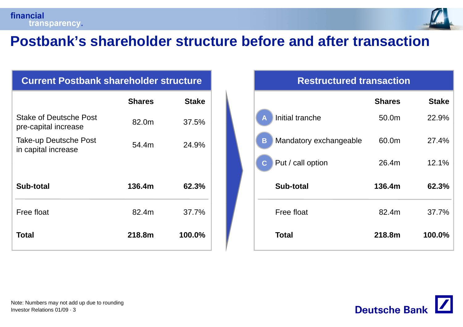

## **Postbank s' shareholder structure before and after transaction**

#### **Current Postbank shareholder structure Postbank Restructured transaction**

|                                                       | <b>Shares</b> | <b>Stake</b> |                     |
|-------------------------------------------------------|---------------|--------------|---------------------|
| <b>Stake of Deutsche Post</b><br>pre-capital increase | 82.0m         | 37.5%        | A                   |
| <b>Take-up Deutsche Post</b><br>in capital increase   | 54.4m         | 24.9%        | B<br>$\overline{C}$ |
|                                                       |               |              |                     |
| Sub-total                                             | 136.4m        | 62.3%        |                     |
| Free float                                            | 82.4m         | 37.7%        |                     |
| <b>Total</b>                                          | 218.8m        | 100.0%       |                     |

#### **Restructured transaction**

| <b>ce</b>     |                             | <b>Shares</b> | <b>Stake</b> |
|---------------|-----------------------------|---------------|--------------|
| $\%$          | Initial tranche<br>A        | 50.0m         | 22.9%        |
| $\frac{1}{2}$ | Mandatory exchangeable<br>B | 60.0m         | 27.4%        |
|               | Put / call option<br>C      | 26.4m         | 12.1%        |
| $\frac{1}{2}$ | <b>Sub-total</b>            | 136.4m        | 62.3%        |
| $\frac{1}{2}$ | Free float                  | 82.4m         | 37.7%        |
| ℅             | <b>Total</b>                | 218.8m        | 100.0%       |
|               |                             |               |              |

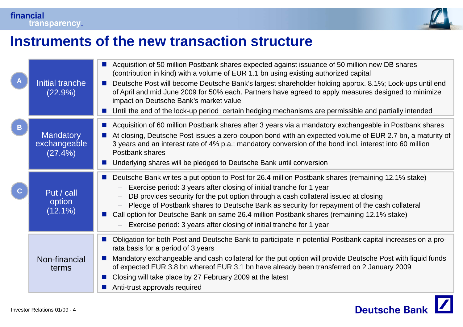

## **Instruments of the new transaction structure**

|             | Initial tranche<br>(22.9%)                  | Acquisition of 50 million Postbank shares expected against issuance of 50 million new DB shares<br>(contribution in kind) with a volume of EUR 1.1 bn using existing authorized capital<br>Deutsche Post will become Deutsche Bank's largest shareholder holding approx. 8.1%; Lock-ups until end<br>of April and mid June 2009 for 50% each. Partners have agreed to apply measures designed to minimize<br>impact on Deutsche Bank's market value<br>Until the end of the lock-up period certain hedging mechanisms are permissible and partially intended |
|-------------|---------------------------------------------|--------------------------------------------------------------------------------------------------------------------------------------------------------------------------------------------------------------------------------------------------------------------------------------------------------------------------------------------------------------------------------------------------------------------------------------------------------------------------------------------------------------------------------------------------------------|
| B           | <b>Mandatory</b><br>exchangeable<br>(27.4%) | Acquisition of 60 million Postbank shares after 3 years via a mandatory exchangeable in Postbank shares<br>$\mathcal{L}^{\text{max}}$<br>At closing, Deutsche Post issues a zero-coupon bond with an expected volume of EUR 2.7 bn, a maturity of<br>3 years and an interest rate of 4% p.a.; mandatory conversion of the bond incl. interest into 60 million<br>Postbank shares<br>Underlying shares will be pledged to Deutsche Bank until conversion                                                                                                      |
| $\mathbf C$ | Put / call<br>option<br>$(12.1\%)$          | Deutsche Bank writes a put option to Post for 26.4 million Postbank shares (remaining 12.1% stake)<br>Exercise period: 3 years after closing of initial tranche for 1 year<br>DB provides security for the put option through a cash collateral issued at closing<br>Pledge of Postbank shares to Deutsche Bank as security for repayment of the cash collateral<br>Call option for Deutsche Bank on same 26.4 million Postbank shares (remaining 12.1% stake)<br>Exercise period: 3 years after closing of initial tranche for 1 year                       |
|             | Non-financial<br>terms                      | Obligation for both Post and Deutsche Bank to participate in potential Postbank capital increases on a pro-<br>rata basis for a period of 3 years<br>Mandatory exchangeable and cash collateral for the put option will provide Deutsche Post with liquid funds<br>of expected EUR 3.8 bn whereof EUR 3.1 bn have already been transferred on 2 January 2009<br>Closing will take place by 27 February 2009 at the latest<br>Anti-trust approvals required                                                                                                   |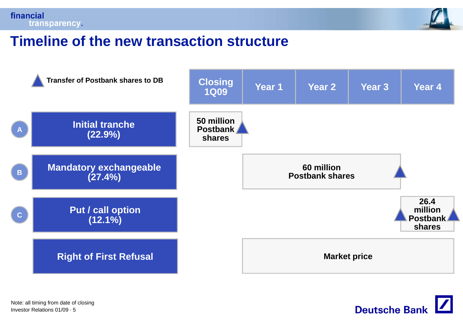



#### **Timeline of the new transaction structure**



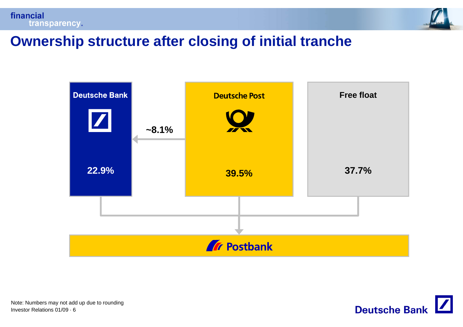



### **Ownership structure after closing of initial tranche**



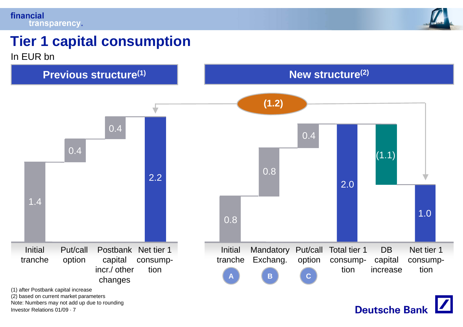#### financial transparency.



# **Tier 1 capital consumption**

In EUR bn